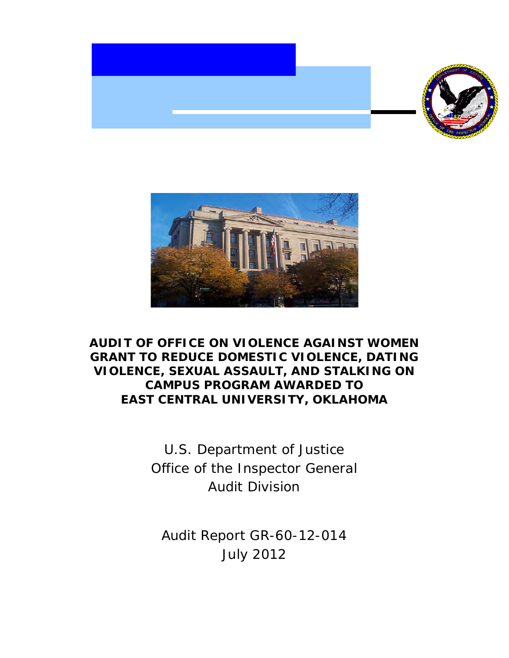



# **AUDIT OF OFFICE ON VIOLENCE AGAINST WOMEN GRANT TO REDUCE DOMESTIC VIOLENCE, DATING VIOLENCE, SEXUAL ASSAULT, AND STALKING ON CAMPUS PROGRAM AWARDED TO EAST CENTRAL UNIVERSITY, OKLAHOMA**

 Office of the Inspector General U.S. Department of Justice Audit Division

 Audit Report GR-60-12-014 July 2012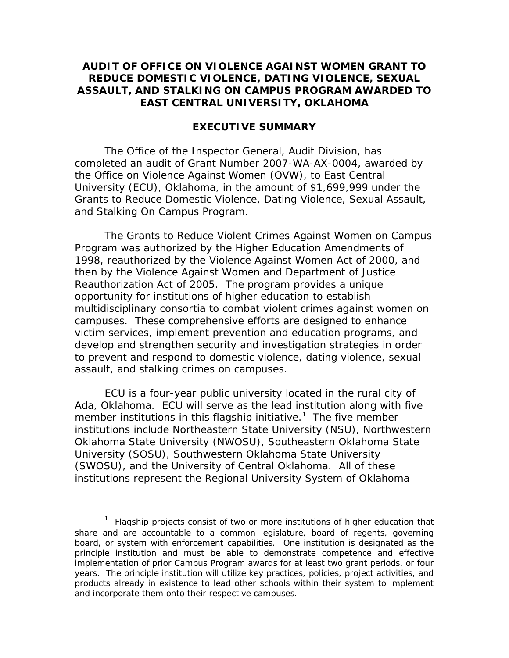# **AUDIT OF OFFICE ON VIOLENCE AGAINST WOMEN GRANT TO REDUCE DOMESTIC VIOLENCE, DATING VIOLENCE, SEXUAL ASSAULT, AND STALKING ON CAMPUS PROGRAM AWARDED TO EAST CENTRAL UNIVERSITY, OKLAHOMA**

#### **EXECUTIVE SUMMARY**

 University (ECU), Oklahoma, in the amount of \$1,699,999 under the and Stalking On Campus Program. The Office of the Inspector General, Audit Division, has completed an audit of Grant Number 2007-WA-AX-0004, awarded by the Office on Violence Against Women (OVW), to East Central Grants to Reduce Domestic Violence, Dating Violence, Sexual Assault,

 Reauthorization Act of 2005. The program provides a unique assault, and stalking crimes on campuses. The Grants to Reduce Violent Crimes Against Women on Campus Program was authorized by the Higher Education Amendments of 1998, reauthorized by the Violence Against Women Act of 2000, and then by the Violence Against Women and Department of Justice opportunity for institutions of higher education to establish multidisciplinary consortia to combat violent crimes against women on campuses. These comprehensive efforts are designed to enhance victim services, implement prevention and education programs, and develop and strengthen security and investigation strategies in order to prevent and respond to domestic violence, dating violence, sexual

 assault, and stalking crimes on campuses. ECU is a four-year public university located in the rural city of member institutions in this flagship initiative.<sup>[1](#page-1-0)</sup> The five member institutions include Northeastern State University (NSU), Northwestern (SWOSU), and the University of Central Oklahoma. All of these Ada, Oklahoma. ECU will serve as the lead institution along with five Oklahoma State University (NWOSU), Southeastern Oklahoma State University (SOSU), Southwestern Oklahoma State University institutions represent the Regional University System of Oklahoma

 $\overline{a}$ 

<span id="page-1-0"></span><sup>&</sup>lt;sup>1</sup> Flagship projects consist of two or more institutions of higher education that principle institution and must be able to demonstrate competence and effective implementation of prior Campus Program awards for at least two grant periods, or four years. The principle institution will utilize key practices, policies, project activities, and and incorporate them onto their respective campuses. share and are accountable to a common legislature, board of regents, governing board, or system with enforcement capabilities. One institution is designated as the products already in existence to lead other schools within their system to implement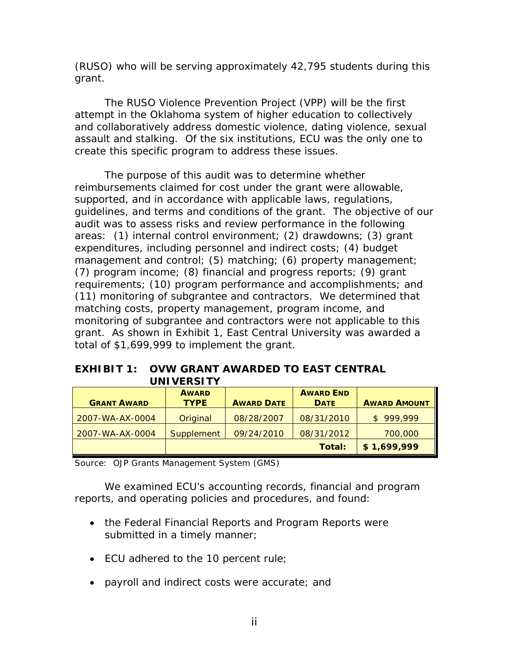(RUSO) who will be serving approximately 42,795 students during this grant.

 assault and stalking. Of the six institutions, ECU was the only one to The RUSO Violence Prevention Project (VPP) will be the first attempt in the Oklahoma system of higher education to collectively and collaboratively address domestic violence, dating violence, sexual

 create this specific program to address these issues. The purpose of this audit was to determine whether guidelines, and terms and conditions of the grant. The objective of our (7) program income; (8) financial and progress reports; (9) grant grant. As shown in Exhibit 1, East Central University was awarded a total of \$1,699,999 to implement the grant. reimbursements claimed for cost under the grant were allowable, supported, and in accordance with applicable laws, regulations, audit was to assess risks and review performance in the following areas: (1) internal control environment; (2) drawdowns; (3) grant expenditures, including personnel and indirect costs; (4) budget management and control; (5) matching; (6) property management; requirements; (10) program performance and accomplishments; and (11) monitoring of subgrantee and contractors. We determined that matching costs, property management, program income, and monitoring of subgrantee and contractors were not applicable to this

# **EXHIBIT 1: OVW GRANT AWARDED TO EAST CENTRAL**

|                    | <b>UNIVERSITY</b> |                   |                  |                     |
|--------------------|-------------------|-------------------|------------------|---------------------|
|                    | <b>AWARD</b>      |                   | <b>AWARD END</b> |                     |
| <b>GRANT AWARD</b> | <b>TYPE</b>       | <b>AWARD DATE</b> | <b>DATE</b>      | <b>AWARD AMOUNT</b> |
| 2007-WA-AX-0004    | Original          | 08/28/2007        | 08/31/2010       | 999,999<br>S.       |
| 2007-WA-AX-0004    | Supplement        | 09/24/2010        | 08/31/2012       | 700,000             |
|                    |                   |                   | Total:           | \$1,699,999         |

Source: OJP Grants Management System (GMS)

 We examined ECU's accounting records, financial and program reports, and operating policies and procedures, and found:

- the Federal Financial Reports and Program Reports were submitted in a timely manner;
- ECU adhered to the 10 percent rule;
- • payroll and indirect costs were accurate; and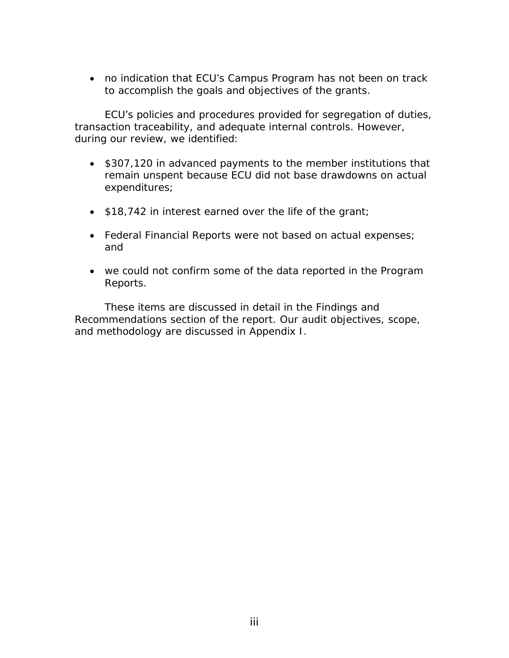to accomplish the goals and objectives of the grants. • no indication that ECU's Campus Program has not been on track

ECU's policies and procedures provided for segregation of duties, transaction traceability, and adequate internal controls. However, during our review, we identified:

- \$307,120 in advanced payments to the member institutions that remain unspent because ECU did not base drawdowns on actual expenditures;
- \$18,742 in interest earned over the life of the grant;
- Federal Financial Reports were not based on actual expenses; and
- we could not confirm some of the data reported in the Program Reports.

These items are discussed in detail in the *Findings and Recommendations* section of the report. Our audit objectives, scope, and methodology are discussed in Appendix I.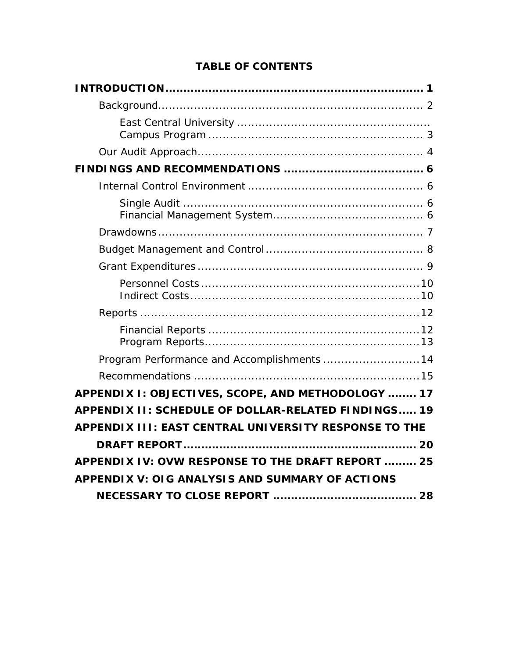# **TABLE OF CONTENTS**

| Program Performance and Accomplishments  14           |
|-------------------------------------------------------|
|                                                       |
| APPENDIX I: OBJECTIVES, SCOPE, AND METHODOLOGY  17    |
| APPENDIX II: SCHEDULE OF DOLLAR-RELATED FINDINGS 19   |
| APPENDIX III: EAST CENTRAL UNIVERSITY RESPONSE TO THE |
|                                                       |
| APPENDIX IV: OVW RESPONSE TO THE DRAFT REPORT  25     |
| APPENDIX V: OIG ANALYSIS AND SUMMARY OF ACTIONS       |
|                                                       |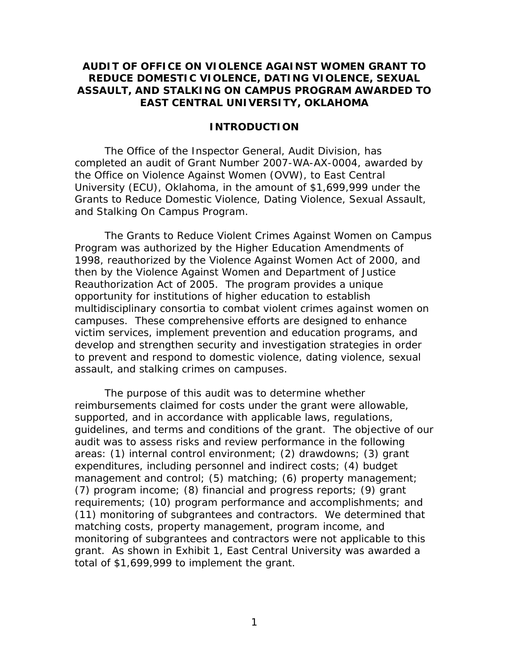# <span id="page-5-0"></span>**AUDIT OF OFFICE ON VIOLENCE AGAINST WOMEN GRANT TO REDUCE DOMESTIC VIOLENCE, DATING VIOLENCE, SEXUAL ASSAULT, AND STALKING ON CAMPUS PROGRAM AWARDED TO EAST CENTRAL UNIVERSITY, OKLAHOMA**

#### **INTRODUCTION**

 University (ECU), Oklahoma, in the amount of \$1,699,999 under the and Stalking On Campus Program. The Office of the Inspector General, Audit Division, has completed an audit of Grant Number 2007-WA-AX-0004, awarded by the Office on Violence Against Women (OVW), to East Central Grants to Reduce Domestic Violence, Dating Violence, Sexual Assault,

 Reauthorization Act of 2005. The program provides a unique assault, and stalking crimes on campuses. The Grants to Reduce Violent Crimes Against Women on Campus Program was authorized by the Higher Education Amendments of 1998, reauthorized by the Violence Against Women Act of 2000, and then by the Violence Against Women and Department of Justice opportunity for institutions of higher education to establish multidisciplinary consortia to combat violent crimes against women on campuses. These comprehensive efforts are designed to enhance victim services, implement prevention and education programs, and develop and strengthen security and investigation strategies in order to prevent and respond to domestic violence, dating violence, sexual

 guidelines, and terms and conditions of the grant. The objective of our (7) program income; (8) financial and progress reports; (9) grant grant. As shown in Exhibit 1, East Central University was awarded a total of \$1,699,999 to implement the grant.<br> $1$ The purpose of this audit was to determine whether reimbursements claimed for costs under the grant were allowable, supported, and in accordance with applicable laws, regulations, audit was to assess risks and review performance in the following areas: (1) internal control environment; (2) drawdowns; (3) grant expenditures, including personnel and indirect costs; (4) budget management and control; (5) matching; (6) property management; requirements; (10) program performance and accomplishments; and (11) monitoring of subgrantees and contractors. We determined that matching costs, property management, program income, and monitoring of subgrantees and contractors were not applicable to this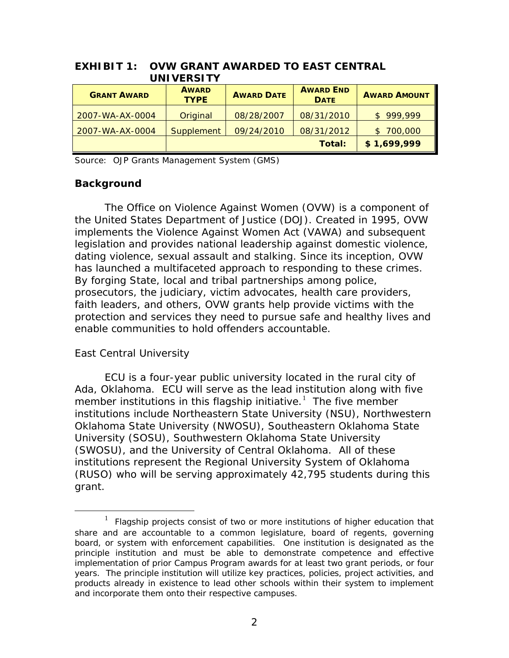|                    | UNIVERSITY                  |                   |                                 |                     |
|--------------------|-----------------------------|-------------------|---------------------------------|---------------------|
| <b>GRANT AWARD</b> | <b>AWARD</b><br><b>TYPE</b> | <b>AWARD DATE</b> | <b>AWARD END</b><br><b>DATE</b> | <b>AWARD AMOUNT</b> |
| 2007-WA-AX-0004    | Original                    | 08/28/2007        | 08/31/2010                      | 999,999<br>\$.      |
| 2007-WA-AX-0004    | <b>Supplement</b>           | 09/24/2010        | 08/31/2012                      | \$700,000           |
|                    |                             |                   | Total:                          | \$1,699,999         |

# **EXHIBIT 1: OVW GRANT AWARDED TO EAST CENTRAL UNIVERSITY**

Source: OJP Grants Management System (GMS)

# **Background**

 implements the Violence Against Women Act (VAWA) and subsequent faith leaders, and others, OVW grants help provide victims with the The Office on Violence Against Women (OVW) is a component of the United States Department of Justice (DOJ). Created in 1995, OVW legislation and provides national leadership against domestic violence, dating violence, sexual assault and stalking. Since its inception, OVW has launched a multifaceted approach to responding to these crimes. By forging State, local and tribal partnerships among police, prosecutors, the judiciary, victim advocates, health care providers, protection and services they need to pursue safe and healthy lives and enable communities to hold offenders accountable.

# *East Central University*

 $\overline{a}$ 

 ECU is a four-year public university located in the rural city of member institutions in this flagship initiative.<sup>[1](#page-6-0)</sup> The five member institutions include Northeastern State University (NSU), Northwestern (SWOSU), and the University of Central Oklahoma. All of these Ada, Oklahoma. ECU will serve as the lead institution along with five Oklahoma State University (NWOSU), Southeastern Oklahoma State University (SOSU), Southwestern Oklahoma State University institutions represent the Regional University System of Oklahoma (RUSO) who will be serving approximately 42,795 students during this grant.

<span id="page-6-0"></span> $\mathbf{1}$  principle institution and must be able to demonstrate competence and effective implementation of prior Campus Program awards for at least two grant periods, or four years. The principle institution will utilize key practices, policies, project activities, and and incorporate them onto their respective campuses. <sup>1</sup>Flagship projects consist of two or more institutions of higher education that share and are accountable to a common legislature, board of regents, governing board, or system with enforcement capabilities. One institution is designated as the products already in existence to lead other schools within their system to implement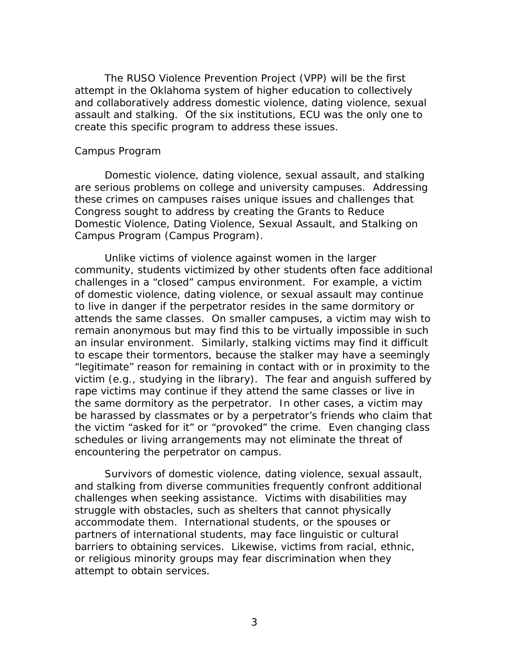<span id="page-7-0"></span> assault and stalking. Of the six institutions, ECU was the only one to create this specific program to address these issues. The RUSO Violence Prevention Project (VPP) will be the first attempt in the Oklahoma system of higher education to collectively and collaboratively address domestic violence, dating violence, sexual

#### *Campus Program*

Domestic violence, dating violence, sexual assault, and stalking are serious problems on college and university campuses. Addressing these crimes on campuses raises unique issues and challenges that Congress sought to address by creating the Grants to Reduce Domestic Violence, Dating Violence, Sexual Assault, and Stalking on Campus Program (Campus Program).

 Unlike victims of violence against women in the larger attends the same classes. On smaller campuses, a victim may wish to "legitimate" reason for remaining in contact with or in proximity to the rape victims may continue if they attend the same classes or live in the same dormitory as the perpetrator. In other cases, a victim may be harassed by classmates or by a perpetrator's friends who claim that community, students victimized by other students often face additional challenges in a "closed" campus environment. For example, a victim of domestic violence, dating violence, or sexual assault may continue to live in danger if the perpetrator resides in the same dormitory or remain anonymous but may find this to be virtually impossible in such an insular environment. Similarly, stalking victims may find it difficult to escape their tormentors, because the stalker may have a seemingly victim (e.g., studying in the library). The fear and anguish suffered by the victim "asked for it" or "provoked" the crime. Even changing class schedules or living arrangements may not eliminate the threat of encountering the perpetrator on campus.

 and stalking from diverse communities frequently confront additional Survivors of domestic violence, dating violence, sexual assault, challenges when seeking assistance. Victims with disabilities may struggle with obstacles, such as shelters that cannot physically accommodate them. International students, or the spouses or partners of international students, may face linguistic or cultural barriers to obtaining services. Likewise, victims from racial, ethnic, or religious minority groups may fear discrimination when they attempt to obtain services.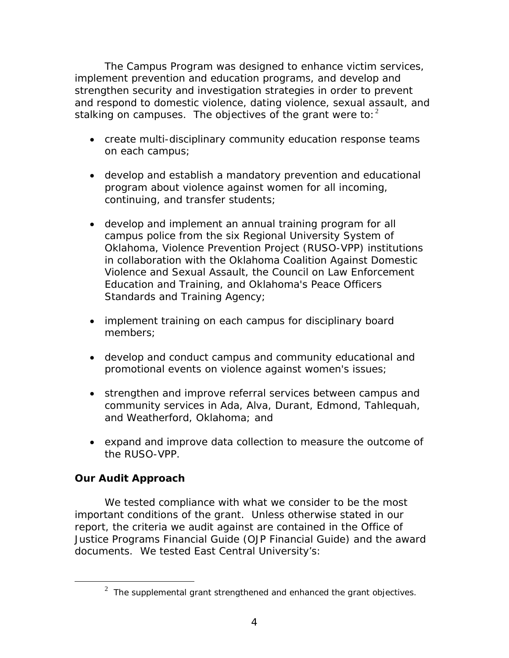<span id="page-8-0"></span> strengthen security and investigation strategies in order to prevent stalking on campuses. The objectives of the grant were to:  $2$ The Campus Program was designed to enhance victim services, implement prevention and education programs, and develop and and respond to domestic violence, dating violence, sexual assault, and

- create multi-disciplinary community education response teams on each campus;
- develop and establish a mandatory prevention and educational program about violence against women for all incoming, continuing, and transfer students;
- develop and implement an annual training program for all campus police from the six Regional University System of Oklahoma, Violence Prevention Project (RUSO-VPP) institutions in collaboration with the Oklahoma Coalition Against Domestic Violence and Sexual Assault, the Council on Law Enforcement Education and Training, and Oklahoma's Peace Officers Standards and Training Agency;
- implement training on each campus for disciplinary board members;
- • develop and conduct campus and community educational and promotional events on violence against women's issues;
- strengthen and improve referral services between campus and community services in Ada, Alva, Durant, Edmond, Tahlequah, and Weatherford, Oklahoma; and
- expand and improve data collection to measure the outcome of the RUSO-VPP.

# **Our Audit Approach**

<span id="page-8-1"></span>-

 important conditions of the grant. Unless otherwise stated in our report, the criteria we audit against are contained in the *Office of*  documents. We tested East Central University's: We tested compliance with what we consider to be the most *Justice Programs Financial Guide* (OJP Financial Guide) and the award

<sup>&</sup>lt;sup>2</sup> The supplemental grant strengthened and enhanced the grant objectives.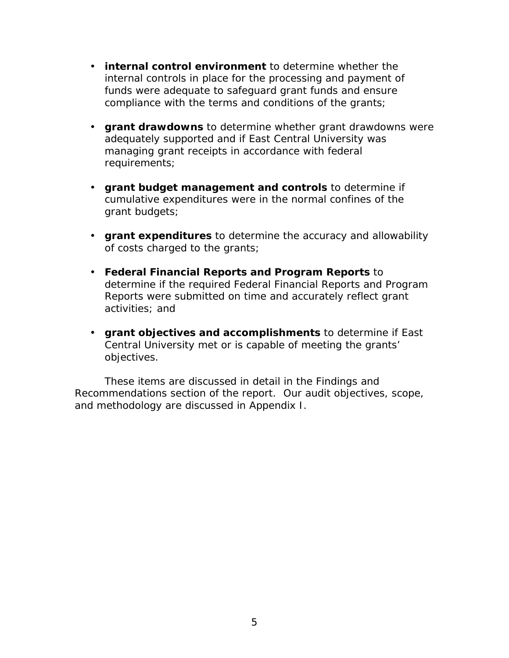- • **internal control environment** to determine whether the internal controls in place for the processing and payment of funds were adequate to safeguard grant funds and ensure compliance with the terms and conditions of the grants;
- **grant drawdowns** to determine whether grant drawdowns were adequately supported and if East Central University was managing grant receipts in accordance with federal requirements;
- grant budgets: • **grant budget management and controls** to determine if cumulative expenditures were in the normal confines of the
- of costs charged to the grants; **• grant expenditures** to determine the accuracy and allowability
- activities; and **• Federal Financial Reports and Program Reports to** determine if the required Federal Financial Reports and Program Reports were submitted on time and accurately reflect grant
- objectives. • **grant objectives and accomplishments** to determine if East Central University met or is capable of meeting the grants'

These items are discussed in detail in the *Findings and Recommendations* section of the report. Our audit objectives, scope, and methodology are discussed in Appendix I.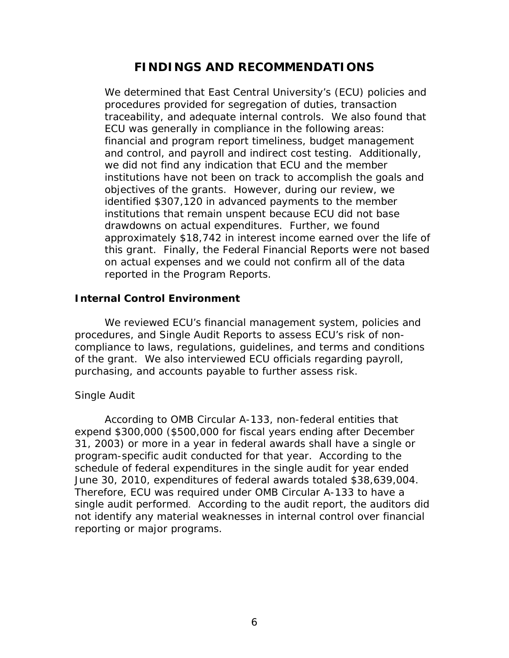# **FINDINGS AND RECOMMENDATIONS**

<span id="page-10-0"></span>ECU was generally in compliance in the following areas: we did not find any indication that ECU and the member institutions have not been on track to accomplish the goals and on actual expenses and we could not confirm all of the data reported in the Program Reports. We determined that East Central University's (ECU) policies and procedures provided for segregation of duties, transaction traceability, and adequate internal controls. We also found that financial and program report timeliness, budget management and control, and payroll and indirect cost testing. Additionally, objectives of the grants. However, during our review, we identified \$307,120 in advanced payments to the member institutions that remain unspent because ECU did not base drawdowns on actual expenditures. Further, we found approximately \$18,742 in interest income earned over the life of this grant. Finally, the Federal Financial Reports were not based

# **Internal Control Environment**

We reviewed ECU's financial management system, policies and procedures, and Single Audit Reports to assess ECU's risk of noncompliance to laws, regulations, guidelines, and terms and conditions of the grant. We also interviewed ECU officials regarding payroll, purchasing, and accounts payable to further assess risk.

# *Single Audit*

 According to OMB Circular A-133, non-federal entities that program-specific audit conducted for that year. According to the single audit performed. According to the audit report, the auditors did expend \$300,000 (\$500,000 for fiscal years ending after December 31, 2003) or more in a year in federal awards shall have a single or schedule of federal expenditures in the single audit for year ended June 30, 2010, expenditures of federal awards totaled \$38,639,004. Therefore, ECU was required under OMB Circular A-133 to have a not identify any material weaknesses in internal control over financial reporting or major programs.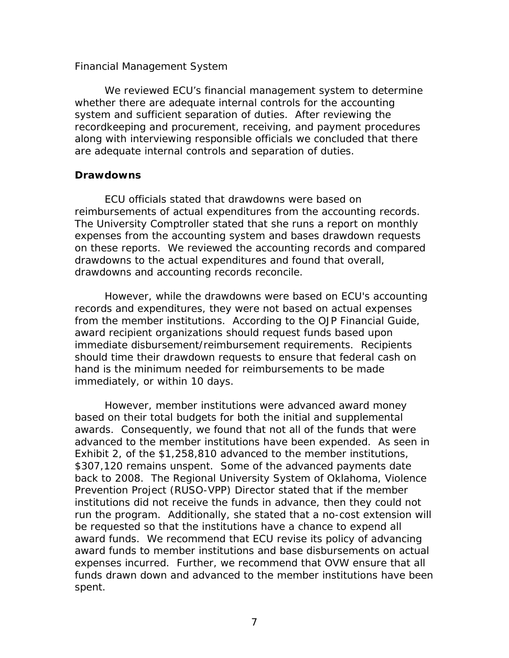# <span id="page-11-0"></span>*Financial Management System*

 We reviewed ECU's financial management system to determine are adequate internal controls and separation of duties. whether there are adequate internal controls for the accounting system and sufficient separation of duties. After reviewing the recordkeeping and procurement, receiving, and payment procedures along with interviewing responsible officials we concluded that there

# **Drawdowns**

reimbursements of actual expenditures from the accounting records. drawdowns and accounting records reconcile. ECU officials stated that drawdowns were based on The University Comptroller stated that she runs a report on monthly expenses from the accounting system and bases drawdown requests on these reports. We reviewed the accounting records and compared drawdowns to the actual expenditures and found that overall,

However, while the drawdowns were based on ECU's accounting records and expenditures, they were not based on actual expenses from the member institutions. According to the *OJP Financial Guide*, award recipient organizations should request funds based upon immediate disbursement/reimbursement requirements. Recipients should time their drawdown requests to ensure that federal cash on hand is the minimum needed for reimbursements to be made immediately, or within 10 days.

 awards. Consequently, we found that not all of the funds that were advanced to the member institutions have been expended. As seen in Prevention Project (RUSO-VPP) Director stated that if the member run the program. Additionally, she stated that a no-cost extension will expenses incurred. Further, we recommend that OVW ensure that all spent. However, member institutions were advanced award money based on their total budgets for both the initial and supplemental Exhibit 2, of the \$1,258,810 advanced to the member institutions, \$307,120 remains unspent. Some of the advanced payments date back to 2008. The Regional University System of Oklahoma, Violence institutions did not receive the funds in advance, then they could not be requested so that the institutions have a chance to expend all award funds. We recommend that ECU revise its policy of advancing award funds to member institutions and base disbursements on actual funds drawn down and advanced to the member institutions have been spent.<br>7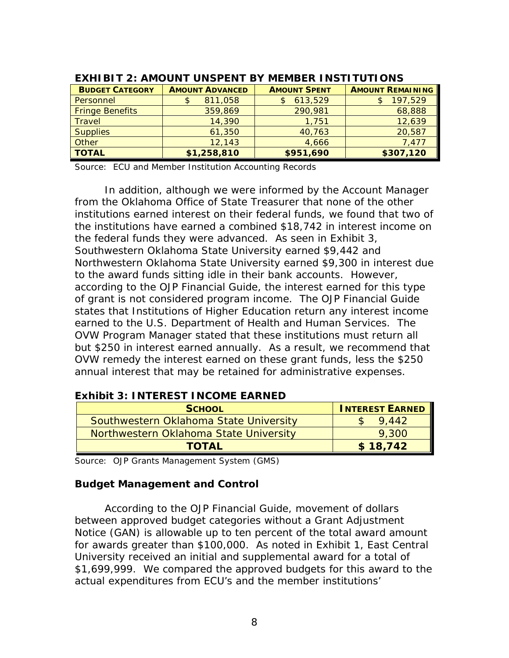| <b>BUDGET CATEGORY</b> | <b>AMOUNT ADVANCED</b> | <b>AMOUNT SPENT</b> | <b>AMOUNT REMAINING</b> |
|------------------------|------------------------|---------------------|-------------------------|
| Personnel              | 811,058                | 613,529             | 197,529                 |
| <b>Fringe Benefits</b> | 359,869                | 290,981             | 68,888                  |
| <b>Travel</b>          | 14,390                 | 1,751               | 12,639                  |
| <b>Supplies</b>        | 61,350                 | 40,763              | 20,587                  |
| Other                  | 12,143                 | 4,666               | 7,477                   |
| <b>TOTAL</b>           | \$1,258,810            | \$951,690           | \$307,120               |

## **EXHIBIT 2: AMOUNT UNSPENT BY MEMBER INSTITUTIONS**

Source: ECU and Member Institution Accounting Records

 the federal funds they were advanced. As seen in Exhibit 3, of grant is not considered program income. The *OJP Financial Guide*  but \$250 in interest earned annually. As a result, we recommend that In addition, although we were informed by the Account Manager from the Oklahoma Office of State Treasurer that none of the other institutions earned interest on their federal funds, we found that two of the institutions have earned a combined \$18,742 in interest income on Southwestern Oklahoma State University earned \$9,442 and Northwestern Oklahoma State University earned \$9,300 in interest due to the award funds sitting idle in their bank accounts. However, according to the *OJP Financial Guide*, the interest earned for this type states that Institutions of Higher Education return any interest income earned to the U.S. Department of Health and Human Services. The OVW Program Manager stated that these institutions must return all OVW remedy the interest earned on these grant funds, less the \$250 annual interest that may be retained for administrative expenses.

#### 9,442 9,300  **TOTAL \$ 18,742 SCHOOL INTEREST EARNED** Southwestern Oklahoma State University Particular State University<br>Northwestern Oklahoma State University

# **Exhibit 3: INTEREST INCOME EARNED**

Source: OJP Grants Management System (GMS)

# **Budget Management and Control**

 According to the *OJP Financial Guide*, movement of dollars for awards greater than \$100,000. As noted in Exhibit 1, East Central University received an initial and supplemental award for a total of between approved budget categories without a Grant Adjustment Notice (GAN) is allowable up to ten percent of the total award amount \$1,699,999. We compared the approved budgets for this award to the actual expenditures from ECU's and the member institutions'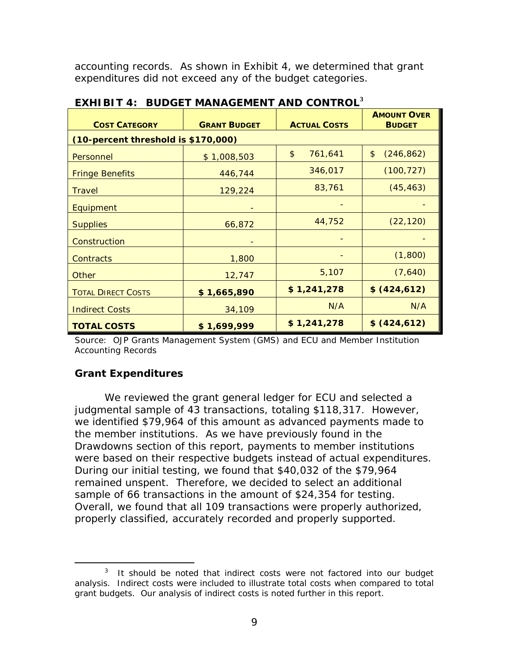accounting records. As shown in Exhibit 4, we determined that grant expenditures did not exceed any of the budget categories.

| <b>COST CATEGORY</b>                | <b>GRANT BUDGET</b> | <b>ACTUAL COSTS</b>      | <b>AMOUNT OVER</b><br><b>BUDGET</b> |
|-------------------------------------|---------------------|--------------------------|-------------------------------------|
| (10-percent threshold is \$170,000) |                     |                          |                                     |
| Personnel                           | \$1,008,503         | $\frac{1}{2}$<br>761,641 | \$<br>(246, 862)                    |
| <b>Fringe Benefits</b>              | 446,744             | 346,017                  | (100, 727)                          |
| <b>Travel</b>                       | 129,224             | 83,761                   | (45, 463)                           |
| Equipment                           |                     |                          |                                     |
| <b>Supplies</b>                     | 66,872              | 44,752                   | (22, 120)                           |
| Construction                        |                     |                          |                                     |
| <b>Contracts</b>                    | 1,800               |                          | (1,800)                             |
| <b>Other</b>                        | 12,747              | 5,107                    | (7,640)                             |
| <b>TOTAL DIRECT COSTS</b>           | \$1,665,890         | \$1,241,278              | \$ (424, 612)                       |
| <b>Indirect Costs</b>               | 34,109              | N/A                      | N/A                                 |
| <b>TOTAL COSTS</b>                  | \$1,699,999         | \$1,241,278              | \$ (424, 612)                       |

|  | EXHIBIT 4: BUDGET MANAGEMENT AND CONTROL <sup>3</sup> |  |
|--|-------------------------------------------------------|--|
|  |                                                       |  |

 Source: OJP Grants Management System (GMS) and ECU and Member Institution Accounting Records

# **Grant Expenditures**

<span id="page-13-0"></span> $\overline{a}$ 

 We reviewed the grant general ledger for ECU and selected a judgmental sample of 43 transactions, totaling \$118,317. However, remained unspent. Therefore, we decided to select an additional properly classified, accurately recorded and properly supported. we identified \$79,964 of this amount as advanced payments made to the member institutions. As we have previously found in the *Drawdowns* section of this report, payments to member institutions were based on their respective budgets instead of actual expenditures. During our initial testing, we found that \$40,032 of the \$79,964 sample of 66 transactions in the amount of \$24,354 for testing. Overall, we found that all 109 transactions were properly authorized,

properly classified, accurately recorded and properly supported.<br>
Fig. 23 It should be noted that indirect costs were not factored into our budget analysis. Indirect costs were included to illustrate total costs when compared to total grant budgets. Our analysis of indirect costs is noted further in this report.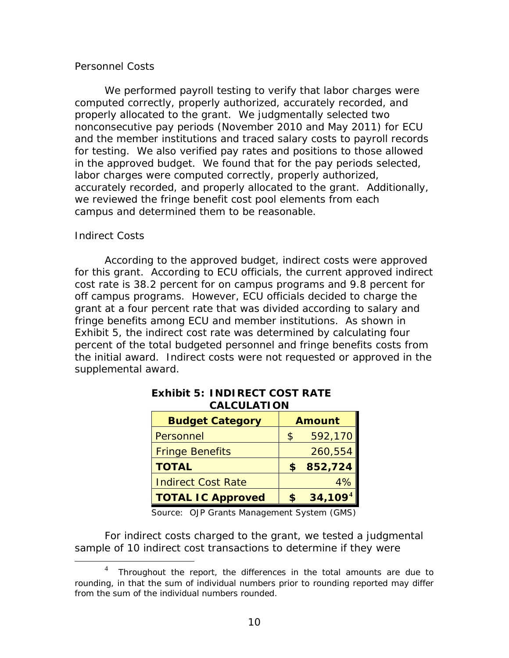# *Personnel Costs*

 properly allocated to the grant. We judgmentally selected two and the member institutions and traced salary costs to payroll records for testing. We also verified pay rates and positions to those allowed in the approved budget. We found that for the pay periods selected, accurately recorded, and properly allocated to the grant. Additionally, campus and determined them to be reasonable. We performed payroll testing to verify that labor charges were computed correctly, properly authorized, accurately recorded, and nonconsecutive pay periods (November 2010 and May 2011) for ECU labor charges were computed correctly, properly authorized, we reviewed the fringe benefit cost pool elements from each

# *Indirect Costs*

 $\overline{a}$ 

 According to the approved budget, indirect costs were approved for this grant. According to ECU officials, the current approved indirect fringe benefits among ECU and member institutions. As shown in Exhibit 5, the indirect cost rate was determined by calculating four cost rate is 38.2 percent for on campus programs and 9.8 percent for off campus programs. However, ECU officials decided to charge the grant at a four percent rate that was divided according to salary and percent of the total budgeted personnel and fringe benefits costs from the initial award. Indirect costs were not requested or approved in the supplemental award.

| <b>Budget Category</b>    | <b>Amount</b>       |
|---------------------------|---------------------|
| Personnel                 | \$<br>592,170       |
| <b>Fringe Benefits</b>    | 260,554             |
| <b>TOTAL</b>              | 852,724             |
| <b>Indirect Cost Rate</b> | 4%                  |
| <b>TOTAL IC Approved</b>  | 34,109 <sup>4</sup> |

# **Exhibit 5: INDIRECT COST RATE CALCULATION**

Source: OJP Grants Management System (GMS)

For indirect costs charged to the grant, we tested a judgmental sample of 10 indirect cost transactions to determine if they were

<span id="page-14-0"></span> $\overline{4}$  from the sum of the individual numbers rounded. <sup>4</sup>Throughout the report, the differences in the total amounts are due to rounding, in that the sum of individual numbers prior to rounding reported may differ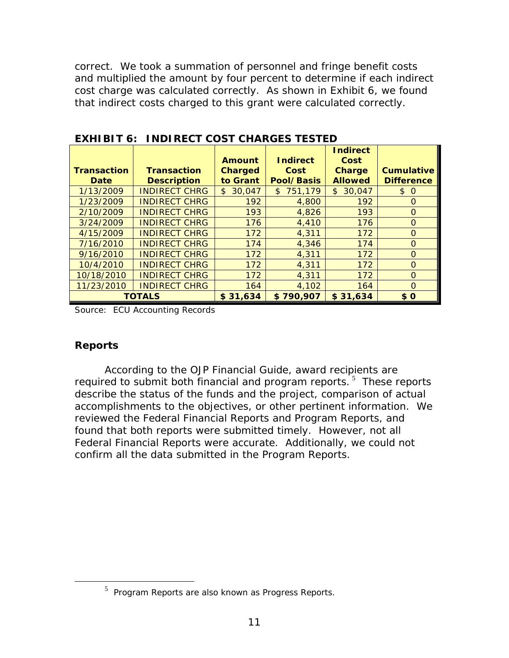cost charge was calculated correctly. As shown in Exhibit 6, we found that indirect costs charged to this grant were calculated correctly. correct. We took a summation of personnel and fringe benefit costs and multiplied the amount by four percent to determine if each indirect

| <b>EXHIBIT 6: INDIRECT COST CHARGES TESTED</b> |                      |                |                 |                          |                   |
|------------------------------------------------|----------------------|----------------|-----------------|--------------------------|-------------------|
|                                                |                      |                |                 | <b>Indirect</b>          |                   |
|                                                |                      | <b>Amount</b>  | <b>Indirect</b> | Cost                     |                   |
| <b>Transaction</b>                             | <b>Transaction</b>   | <b>Charged</b> | Cost            | <b>Charge</b>            | <b>Cumulative</b> |
| <b>Date</b>                                    | <b>Description</b>   | to Grant       | Pool/Basis      | <b>Allowed</b>           | <b>Difference</b> |
| 1/13/2009                                      | <b>INDIRECT CHRG</b> | 30,047<br>\$   | \$751,179       | 30,047<br>$\mathfrak{L}$ | \$0               |
| 1/23/2009                                      | <b>INDIRECT CHRG</b> | 192            | 4,800           | 192                      | $\Omega$          |
| 2/10/2009                                      | <b>INDIRECT CHRG</b> | 193            | 4,826           | 193                      | $\Omega$          |
| 3/24/2009                                      | <b>INDIRECT CHRG</b> | 176            | 4,410           | 176                      | $\Omega$          |
| 4/15/2009                                      | <b>INDIRECT CHRG</b> | 172            | 4,311           | 172                      | $\Omega$          |
| 7/16/2010                                      | <b>INDIRECT CHRG</b> | 174            | 4,346           | 174                      | $\Omega$          |
| 9/16/2010                                      | <b>INDIRECT CHRG</b> | 172            | 4,311           | 172                      | $\Omega$          |
| 10/4/2010                                      | <b>INDIRECT CHRG</b> | 172            | 4,311           | 172                      | $\Omega$          |
| 10/18/2010                                     | <b>INDIRECT CHRG</b> | 172            | 4,311           | 172                      | $\Omega$          |
| 11/23/2010                                     | <b>INDIRECT CHRG</b> | 164            | 4,102           | 164                      | $\Omega$          |
|                                                | <b>TOTALS</b>        | \$31.634       | \$790,907       | \$31.634                 | \$0               |

Source: ECU Accounting Records

# **Reports**

<span id="page-15-0"></span> $\overline{a}$ 

 According to the *OJP Financial Guide*, award recipients are required to submit both financial and program reports.  $5$  These reports confirm all the data submitted in the Program Reports. describe the status of the funds and the project, comparison of actual accomplishments to the objectives, or other pertinent information. We reviewed the Federal Financial Reports and Program Reports, and found that both reports were submitted timely. However, not all Federal Financial Reports were accurate. Additionally, we could not

 $5$  Program Reports are also known as Progress Reports.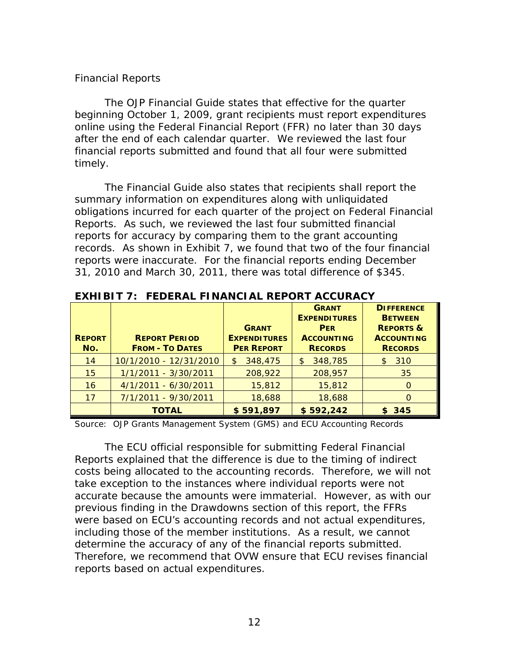# *Financial Reports*

 online using the Federal Financial Report (FFR) no later than 30 days timely. The *OJP Financial Guide* states that effective for the quarter beginning October 1, 2009, grant recipients must report expenditures after the end of each calendar quarter. We reviewed the last four financial reports submitted and found that all four were submitted

 31, 2010 and March 30, 2011, there was total difference of \$345. The *Financial Guide* also states that recipients shall report the summary information on expenditures along with unliquidated obligations incurred for each quarter of the project on Federal Financial Reports. As such, we reviewed the last four submitted financial reports for accuracy by comparing them to the grant accounting records. As shown in Exhibit 7, we found that two of the four financial reports were inaccurate. For the financial reports ending December

|               |                        |                                     | <b>GRANT</b><br><b>EXPENDITURES</b> | <b>DIFFERENCE</b><br><b>BETWEEN</b>       |
|---------------|------------------------|-------------------------------------|-------------------------------------|-------------------------------------------|
| <b>REPORT</b> | <b>REPORT PERIOD</b>   | <b>GRANT</b><br><b>EXPENDITURES</b> | <b>PER</b><br><b>ACCOUNTING</b>     | <b>REPORTS &amp;</b><br><b>ACCOUNTING</b> |
| No.           | <b>FROM - TO DATES</b> | <b>PER REPORT</b>                   | <b>RECORDS</b>                      | <b>RECORDS</b>                            |
| 14            | 10/1/2010 - 12/31/2010 | 348,475<br>\$                       | 348,785<br>$\mathfrak{S}$           | 310<br>\$.                                |
| 15            | 1/1/2011 - 3/30/2011   | 208,922                             | 208,957                             | 35                                        |
| 16            | $4/1/2011 - 6/30/2011$ | 15,812                              | 15,812                              | $\Omega$                                  |
| 17            | 7/1/2011 - 9/30/2011   | 18,688                              | 18,688                              | $\Omega$                                  |
|               | <b>TOTAL</b>           | \$591,897                           | \$592,242                           | \$345                                     |

**EXHIBIT 7: FEDERAL FINANCIAL REPORT ACCURACY** 

Source: OJP Grants Management System (GMS) and ECU Accounting Records

 accurate because the amounts were immaterial. However, as with our determine the accuracy of any of the financial reports submitted. reports based on actual expenditures.<br>12 The ECU official responsible for submitting Federal Financial Reports explained that the difference is due to the timing of indirect costs being allocated to the accounting records. Therefore, we will not take exception to the instances where individual reports were not previous finding in the *Drawdowns* section of this report, the FFRs were based on ECU's accounting records and not actual expenditures, including those of the member institutions. As a result, we cannot Therefore, we recommend that OVW ensure that ECU revises financial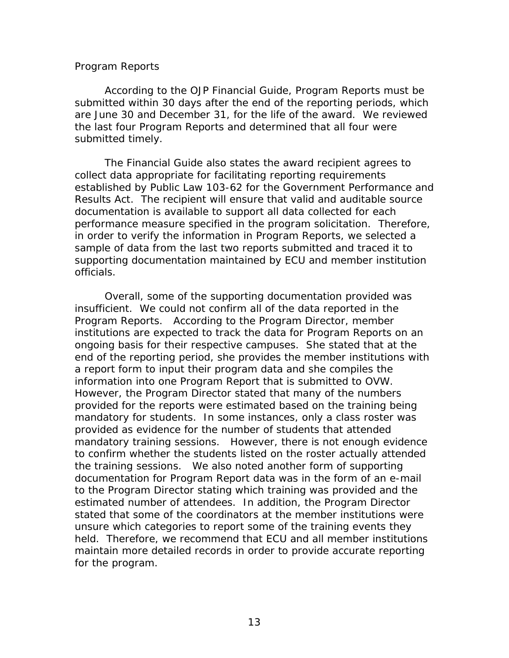#### <span id="page-17-0"></span> *Program Reports*

 According to the *OJP Financial Guide*, Program Reports must be submitted timely. submitted within 30 days after the end of the reporting periods, which are June 30 and December 31, for the life of the award. We reviewed the last four Program Reports and determined that all four were

 documentation is available to support all data collected for each in order to verify the information in Program Reports, we selected a officials. The *Financial Guide* also states the award recipient agrees to collect data appropriate for facilitating reporting requirements established by Public Law 103-62 for the Government Performance and Results Act. The recipient will ensure that valid and auditable source performance measure specified in the program solicitation. Therefore, sample of data from the last two reports submitted and traced it to supporting documentation maintained by ECU and member institution

 insufficient. We could not confirm all of the data reported in the Program Reports. According to the Program Director, member mandatory for students. In some instances, only a class roster was mandatory training sessions. However, there is not enough evidence to confirm whether the students listed on the roster actually attended the training sessions. We also noted another form of supporting estimated number of attendees. In addition, the Program Director held. Therefore, we recommend that ECU and all member institutions maintain more detailed records in order to provide accurate reporting for the program. Overall, some of the supporting documentation provided was institutions are expected to track the data for Program Reports on an ongoing basis for their respective campuses. She stated that at the end of the reporting period, she provides the member institutions with a report form to input their program data and she compiles the information into one Program Report that is submitted to OVW. However, the Program Director stated that many of the numbers provided for the reports were estimated based on the training being provided as evidence for the number of students that attended documentation for Program Report data was in the form of an e-mail to the Program Director stating which training was provided and the stated that some of the coordinators at the member institutions were unsure which categories to report some of the training events they for the program.<br>
13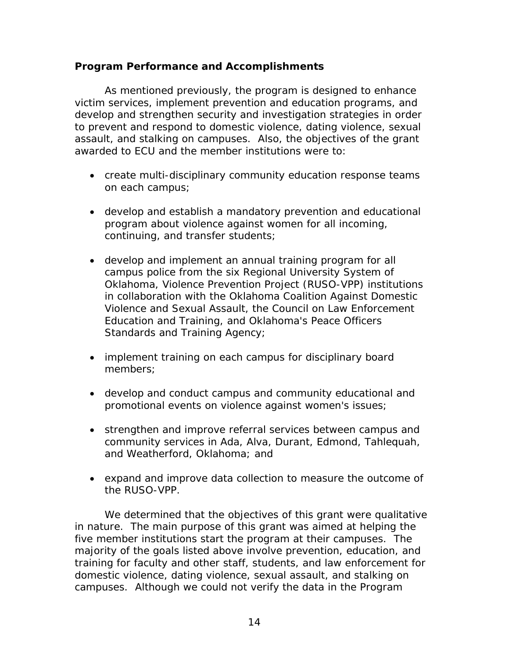# <span id="page-18-0"></span>**Program Performance and Accomplishments**

As mentioned previously, the program is designed to enhance victim services, implement prevention and education programs, and develop and strengthen security and investigation strategies in order to prevent and respond to domestic violence, dating violence, sexual assault, and stalking on campuses. Also, the objectives of the grant awarded to ECU and the member institutions were to:

- create multi-disciplinary community education response teams on each campus;
- develop and establish a mandatory prevention and educational program about violence against women for all incoming, continuing, and transfer students;
- develop and implement an annual training program for all campus police from the six Regional University System of Oklahoma, Violence Prevention Project (RUSO-VPP) institutions in collaboration with the Oklahoma Coalition Against Domestic Violence and Sexual Assault, the Council on Law Enforcement Education and Training, and Oklahoma's Peace Officers Standards and Training Agency;
- implement training on each campus for disciplinary board members;
- develop and conduct campus and community educational and promotional events on violence against women's issues;
- strengthen and improve referral services between campus and community services in Ada, Alva, Durant, Edmond, Tahlequah, and Weatherford, Oklahoma; and
- expand and improve data collection to measure the outcome of the RUSO-VPP.

 five member institutions start the program at their campuses. The campuses. Although we could not verify the data in the Program We determined that the objectives of this grant were qualitative in nature. The main purpose of this grant was aimed at helping the majority of the goals listed above involve prevention, education, and training for faculty and other staff, students, and law enforcement for domestic violence, dating violence, sexual assault, and stalking on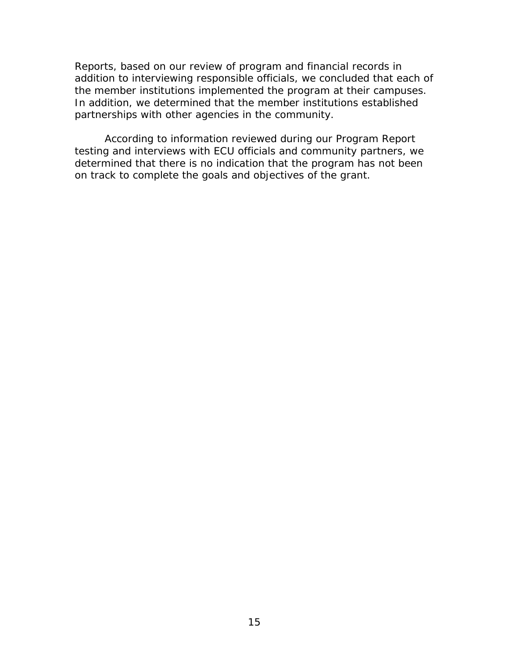<span id="page-19-0"></span>Reports, based on our review of program and financial records in addition to interviewing responsible officials, we concluded that each of the member institutions implemented the program at their campuses. In addition, we determined that the member institutions established partnerships with other agencies in the community.

According to information reviewed during our Program Report testing and interviews with ECU officials and community partners, we determined that there is no indication that the program has not been on track to complete the goals and objectives of the grant.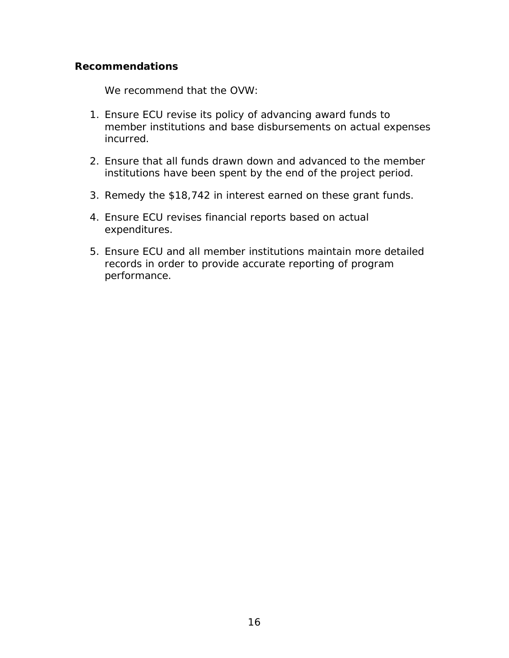# **Recommendations**

We recommend that the OVW:

- 1. Ensure ECU revise its policy of advancing award funds to member institutions and base disbursements on actual expenses incurred.
- institutions have been spent by the end of the project period. 2. Ensure that all funds drawn down and advanced to the member
- institutions have been spent by the end of the project period. 3. Remedy the \$18,742 in interest earned on these grant funds. 4. Ensure ECU revises financial reports based on actual
- expenditures.
- records in order to provide accurate reporting of program performance. 5. Ensure ECU and all member institutions maintain more detailed performance.<br>
16<br>
16<br>
16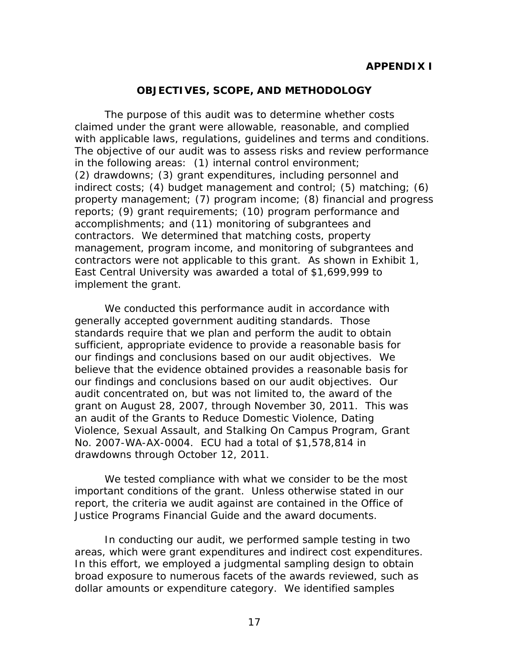### **OBJECTIVES, SCOPE, AND METHODOLOGY**

<span id="page-21-0"></span> reports; (9) grant requirements; (10) program performance and contractors. We determined that matching costs, property contractors were not applicable to this grant. As shown in Exhibit 1, implement the grant. The purpose of this audit was to determine whether costs claimed under the grant were allowable, reasonable, and complied with applicable laws, regulations, guidelines and terms and conditions. The objective of our audit was to assess risks and review performance in the following areas: (1) internal control environment; (2) drawdowns; (3) grant expenditures, including personnel and indirect costs; (4) budget management and control; (5) matching; (6) property management; (7) program income; (8) financial and progress accomplishments; and (11) monitoring of subgrantees and management, program income, and monitoring of subgrantees and East Central University was awarded a total of \$1,699,999 to

 believe that the evidence obtained provides a reasonable basis for an audit of the Grants to Reduce Domestic Violence, Dating Violence, Sexual Assault, and Stalking On Campus Program, Grant We conducted this performance audit in accordance with generally accepted government auditing standards. Those standards require that we plan and perform the audit to obtain sufficient, appropriate evidence to provide a reasonable basis for our findings and conclusions based on our audit objectives. We our findings and conclusions based on our audit objectives. Our audit concentrated on, but was not limited to, the award of the grant on August 28, 2007, through November 30, 2011. This was No. 2007-WA-AX-0004. ECU had a total of \$1,578,814 in drawdowns through October 12, 2011.

 important conditions of the grant. Unless otherwise stated in our report, the criteria we audit against are contained in the *Office of*  We tested compliance with what we consider to be the most *Justice Programs Financial Guide* and the award documents.

 In this effort, we employed a judgmental sampling design to obtain dollar amounts or expenditure category. We identified samples In conducting our audit, we performed sample testing in two areas, which were grant expenditures and indirect cost expenditures. broad exposure to numerous facets of the awards reviewed, such as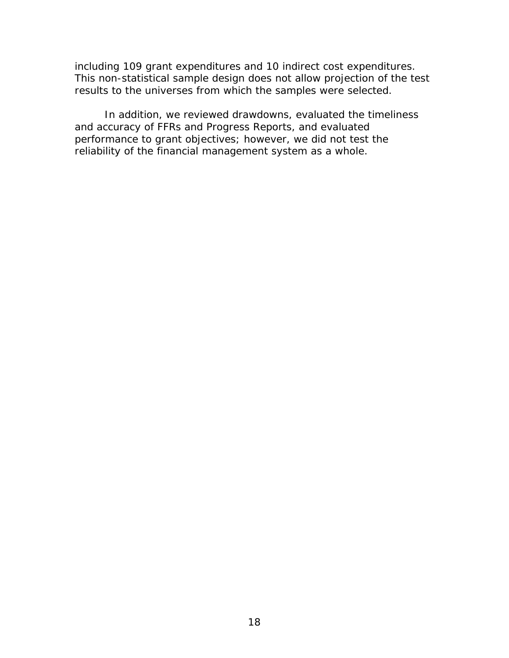including 109 grant expenditures and 10 indirect cost expenditures. This non-statistical sample design does not allow projection of the test

results to the universes from which the samples were selected.<br>In addition, we reviewed drawdowns, evaluated the timeliness and accuracy of FFRs and Progress Reports, and evaluated performance to grant objectives; however, we did not test the reliability of the financial management system as a whole.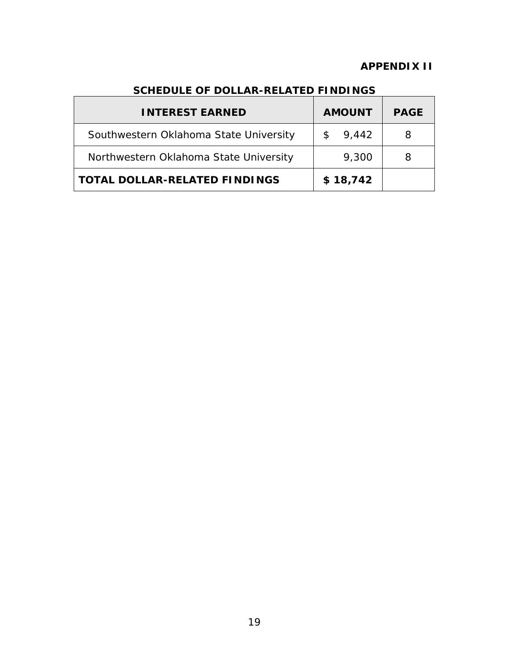# **APPENDIX II**

| <b>INTEREST EARNED</b>                 | <b>AMOUNT</b> | <b>PAGE</b> |
|----------------------------------------|---------------|-------------|
| Southwestern Oklahoma State University | 9,442         |             |
| Northwestern Oklahoma State University | 9,300         |             |
| <b>TOTAL DOLLAR-RELATED FINDINGS</b>   | \$18,742      |             |

# **SCHEDULE OF DOLLAR-RELATED FINDINGS**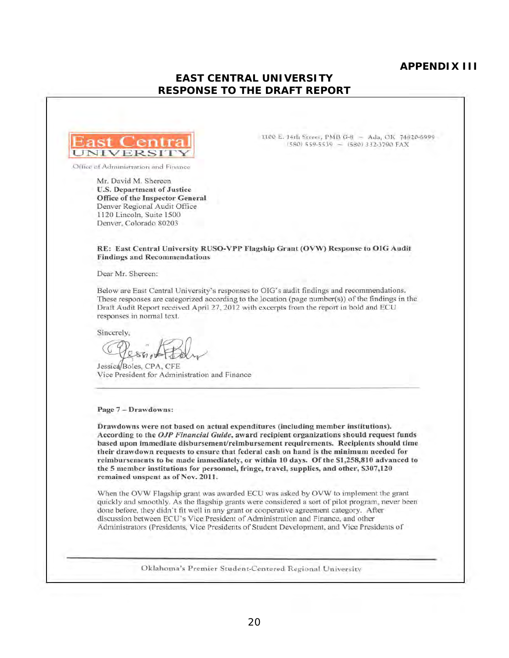#### **APPENDIX III**

## **EAST CENTRAL UNIVERSITY RESPONSE TO THE DRAFT REPORT**



Office of Administration and Finance

Mr. David M. Shereen U.S. Department of Justice Office of the Inspector General Denver Regional Audit Office 1120 Lincoln. Suitc ! 500 Dcnver, Colorado 80203

lli00 E. 14th Street, PMB G-8 ~ Ada, OK 74820-6999 (580) 559-5539 - (580) 332-3790 FAX

RE: East Central University RUSO-VPP Flagship Grant (OVW) Response to OIG Audit Findings and Recommendations

Dear Mr. Shereen:

Below are East Central University's responses to OIG's audit findings and recommendations. These responses are categorized according to the location (page number(s)) of the findings in the Draft Audit Report received April 27, 2012 with excerpts from the report in bold and ECU responses in normal text.

Sincerely,

Jessica/Boles, CPA, CFE Vice President for Administration and Finance

#### Page 7 - Drawdowns:

Orawdowns were not based on actual expenditures (including member institutions). According to the *OJP Fillum:iul Guide,* award recipient organizations should request funds based upon immediate disbursement/reimbursement requirements. Recipients should time their drawdown requests to ensure that federal cash on hand is the minimum needed for reimbursements to be made immediately. or within 10 days. Of the \$1,258,810 advanced to the 5 member institutions for personnel, fringe, travel, supplies, and other, \$307,120 remained unspent as of Nov. 2011.

When the OVW Flagship grant was awarded ECU was asked by OVW to implement the grant quickly and smoothly. As the flagship grants were considered a sort of pilot program, never been done before, they didn't fit well in any grant or cooperative agreement category. After discussion between ECU's Vice President of Administration and Finance. and other Administrators (Presidents, Viee Presidents of Student Development, and Vice Presidents of

Oklahoma's Premier Student-Centered Regional University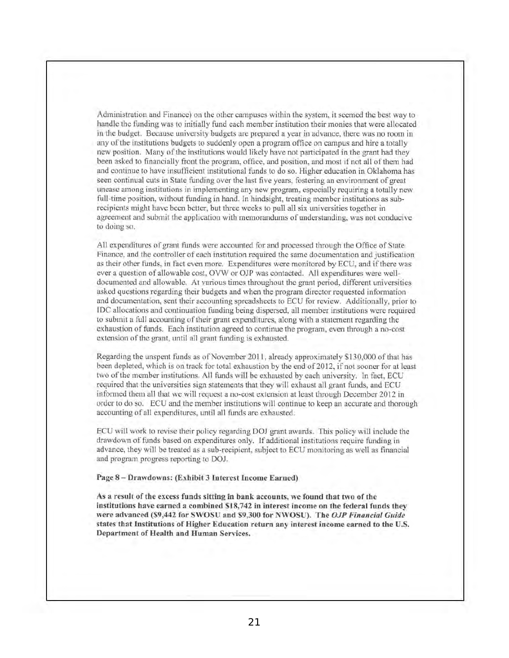Administration and Finance) on the other campuses within the system, it seemed the best way to handle the funding was to initially fund each member institution their monies that were allocated in the budget. Because university budgets arc prepared a year in advance, there was no room in any of the institutions budgets to suddenly open a program office on campus and hire a totally new position, Many of the institutions would likely have not participated in the grant had they been asked to financially front the program, office, and position, and most if not all of them had and continue to have insufficient institutional funds to do so. Higher education in Oklahoma has seen continual cuts in State funding over the last live years, fostering an environment of great unease among institutions in implementing any new program, especially requiring a totally new full-time position, without funding in hand. In hindsight, treating member institutions as subrecipients might have been better, but three weeks to pull all six universities together in agreement and submit the application with memorandums of understanding, was not conducive to doing so.

All expenditures of grant funds were accounted for and processed through the Office of State Finance, and the controller of caeh institution rcquired the same documcntation and justification as their other funds, in fact even more. Expenditures were monitored by ECU, and if there was ever a question of allowable cost, OVW or OJP was contacted. All expenditures were welldocumented and allowable. At various times throughout the grant period, different universities asked questions regarding their budgets and when the program director requested infonnation and documentation, sent their accounting spreadsheets to ECU for review. Additionally, prior to IDC allocations and continuation funding being dispersed, all member institutions were required to submit a full accounting of their grant expenditures, along with a statement regarding the exhaustion of funds. Each institution agreed to continue the program, even through a no-cost extension of the grant, until all grant funding is exhausted.

Regarding the unspent funds as of November 2011, already approximately \$130,000 of that has been depleted, which is on track for total exhaustion by the end of 2012, if not sooner for at least two of the member institutions. All funds will be exhausted by each university. In fact, ECU required that the universities sign statements that they will exhaust all grant funds, and ECU infonned them all that we will request a no-cost extension at least through December 2012 in order to do so. ECU and the member institutions will continue to keep an accurate and thorough accounting of all expenditures, until all funds arc exhausted.

ECU will work to revise their policy regarding DOJ grant awards. This policy will include the drawdown of funds based on expenditures only. If additional institutions require funding in advance, they will be treated as a sub-recipient, subject to ECU monitoring as well as financial and program progress reporting to DOJ.

Page 8 - Drawdowns: (Exhibit 3 Interest Income Earned)

As a result of the excess funds sitting in bank accounts, we found that two of the institutions have earned a combined \$18,742 in interest income on the federal funds they were advanced (\$9,442 for SWOSV and \$9,300 for NWOSV)\_ The *DJP Financial Guide*  states that Institutions of Higher Education return any interest income earned to the U.s. Department of Health and Human Services,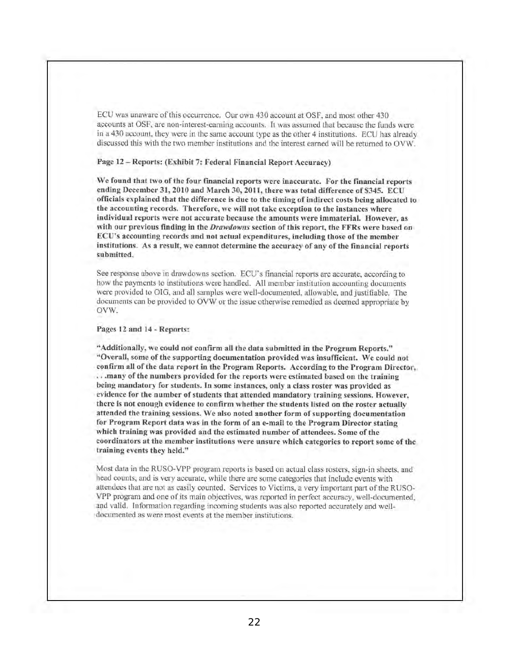ECU was unaware of this occurrencc. Our own 430 account at OSF, and most other 430 accounts at OSF, are non interest-eaming accounts. It was assumed that because the funds were in a 430 account, thcy wcre in the samc account type as the other 4 institutions. ECU has already discussed this with the two member institutions and the interest earned will be returned to OVW.

#### Page 12 - Reports: (Exhibit 7: Federal financial Report Accuracy)

\Ve found that two of the four financial reports were inaccurate. For the financial reports ending December 31, 2010 and March 30, 2011, there was total difference of \$345. ECU officials explained that the difference is due to the timing of indirect costs being allocated to the accounting records. Therefore, we will not take exception to the instances where individual reports were not accurate because the amounts were immaterial. However, as with our previous finding in the Drawdowns section of this report, the FFRs were based on ECU's accounting records and not actual expenditures, including those of the member institutions. As a result, we cannot determine the accuracy of any of the financial reports submitted.

See response above in drawdowns section. ECU's financial reports arc accurate, according to how the payments to institutions were handled. All member institution accounting documents were provided to OIG, and all samples were well-documented, allowable, and justifiable. The documents can be provided to OVW or the issue otherwise remedied as deemed appropriate by OVW.

#### Pages 12 and 14 - Reports:

"Additionally, we could not confirm all the data submitted in the Program Reports." "Overall, some of the supporting documentation provided was insufficient. We could not confirm all of the data report in the Program Reports. According to the Program Director, ...many of the numbers provided for the reports were estimated based on the training being mandatory for students. In some instances, only a class roster was provided as cvidenee for the number of students that attended mandatory training sessions. However, there is not enough evidence to confirm whether the students listed on the roster actually attended the training sessions. We also noted another form of supporting documentation for Program Report data was in the form of an e-mail to the Program Director stating which training was provided and the estimated number of attendees. Some of the coordinators at the member institutions were unsure which categories to report some of the training events they held."

Most data in the RUSO-VPP program reports is based on actual class rosters, sign-in sheets, and head counts, and is very accurate, while there are some categories that include events with attendees that arc not as easily counted. Services to Victims, a very important part of the RUSO-VPP program and one of its main objectivcs, was reported in perfect accuracy, well-documented, and valid. Information regarding incoming students was also reported accurately and welldocumented as were most events at the member institutions.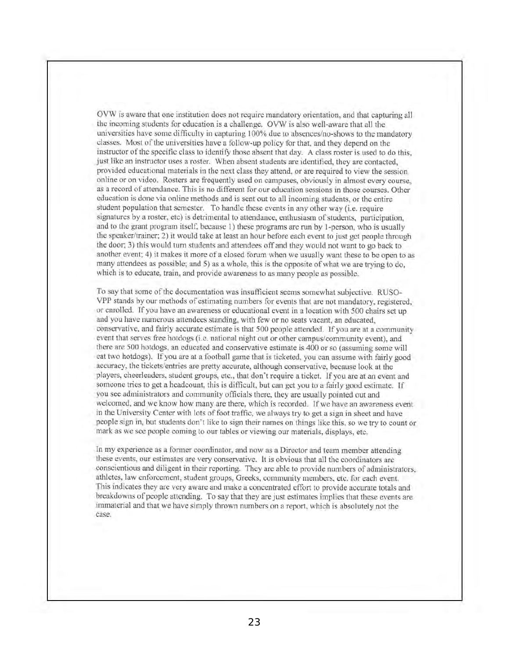OVW is aware that one institution docs not require mandatory orientation, and that capturing all the incoming students for cducation is a challenge. OVW is also wel!-aware that all the universities have some difficulty in capturing 100% due to absences/no-shows to the mandatory classes. Most of the universities have a follow-up policy for that, and they depend on the instructor of the specific class to identify those absent that day. A class roster is used to do this, just like an instructor uses a roster. When absent students are identified, they are contacted, provided educational materials in the next class they attend, or are required to view the session online or on video. Rosters are frequently used on campuses, obviously in almost every course, as a record of attendanec. This is no different for our education sessions in those courses. Olher education is done via online methods and is sent out to all incoming students, Or the entire student population that semester. To handle these events in any other way (i.e. require signatures by a roster, etc) is detrimental to attendance, enthusiasm of students, participation, and to the grant program itsclf, because I) these programs arc run by I-person, who is usually the speaker/trainer; 2) it would take at least an hour before each event to just get people through the door; 3) this would tum students and attendees off and they would not want to go back to another event; 4) it makes it more of a closed forum when we usually want these to be open to as many attendees as possible; and 5) as a whole, this is the opposite of what we are trying to do, which is to educate, train, and provide awareness to as many people as possible.

To say that somc of the documentation was insufficient seems somewhat subjective. RUSO-VPP stands by our methods of estimating numbers for events that are not mandatory, registered, or enrolled. If you have an awareness or educational event in a location with 500 chairs set up and you have numerous attendees standing, with few or no scats vacant, an educated, conservative, and fairly accurate estimate is that 500 people attended. If you are at a community event that serves free hotdogs (i.e. national night out or other campus/community event), and there are 500 hotdogs, an educated and conservative estimate is 400 or so (assuming some will cat two hotdogs). If you are at a football game that is ticketed, you can assume with fairly good accuracy, the tickets/entries are pretty accurate, although conservative, because look at the players, cheerleaders, student groups, etc., that don't require a ticket. If you are at an event and someone tries to get a headcount, this is difficult, but can get you to a fairly good estimate. If you see administrators and community officials there, they are usually pointed out and welcomed, and we know how many are there, which is recorded. If we have an awareness event in the University Center with lots of foot traffic, we always try to get a sign in sheet and have people sign in, but students don't like to sign their names on things like this, so wc try to count or mark as we sec people coming to our tables or vicwing our materials, displays, etc.

In my experience as a fonner coordinator, and now as a Director and tcam member attending these cvents, our estimates are very conservative. It is obvious that all the coordinators arc conscientious and diligent in their reporting. They are able to provide numbers of administrators, athletes, law enforcement, student groups, Greeks, community members, etc. for each event. This indicates they are very aware and make a concentrated effort to provide accurate totals and breakdowns of people attending. To say that they are just estimates implies that these events are immaterial and that we have simply thrown numbers on a report, which is absolutely not the case.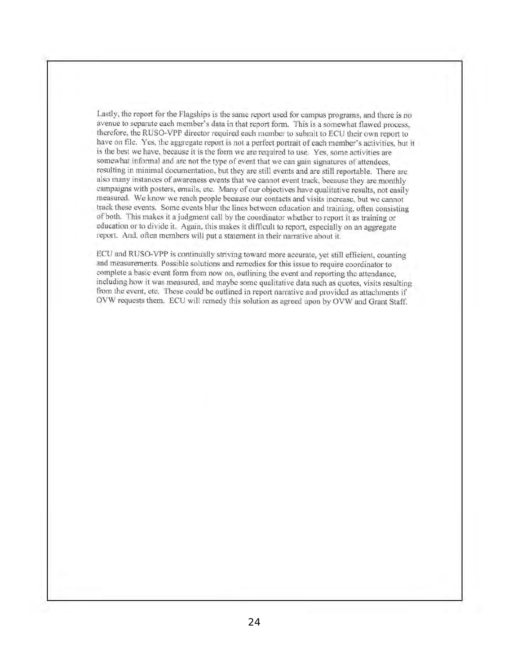Lastly, thc report for the Flagships is the same report used for campus programs, and there is no avenue to separate each member's data in that report form. This is a somewhat flawed process, therefore, the RUSO-VPP director required each membcr to submit to ECU their own report to have on file. Yes, the aggregate report is not a perfect portrait of each member's activities, but it is the best we have, because it is the form we are required to use. Yes, some activities are somewhat informal and are not the type of event that we can gain signatures of attendees, resulting in minimal documentation, but they arc still cvents and are still reportable. There arc also many instances of awareness events that we cannot event track, bccause they arc monthly campaigns with posters, emails, etc. Many of our objectives have qualitative results, not easily measured. We know we reach people because our contacts and visits increase, but we cannot track these events. Some events blur the lines betwccn education and training, often consisting of both. TIlis makes it a judgment call by the coordinator whether to report it as training or education or to divide it. Again, this makes it difficult to report, especially on an aggregate report. And, often members will put a statement in their narrative about it.

ECU and RUSO-VPP is continually striving toward more accurate, yet still efficient, counting and measurements. Possible solutions and remedies for this issue to require coordinator to complete a basic event form from now on, outlining the event and reporting the attendance, including how it was measured, and maybe some qualitative data such as quotes, visits resulting from the event, etc. These could be outlined in report narrative and provided as attachments if ovw requests them. ECU will remedy this solution as agreed upon by OVW and Grant Staff.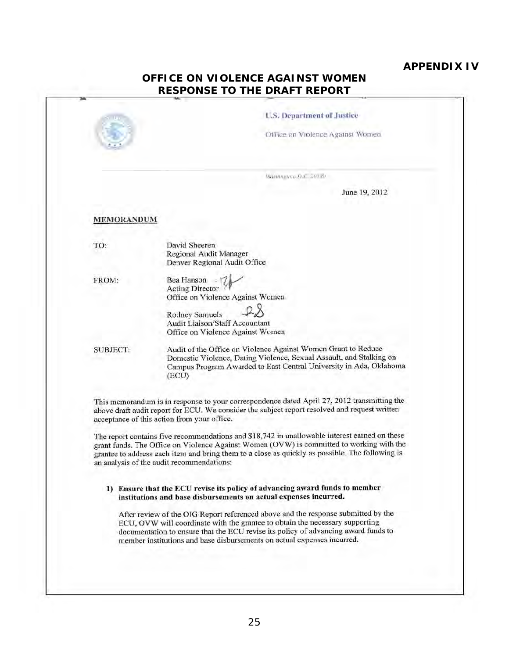# **APPENDIX IV**

| <b>OFFICE ON VIOLENCE AGAINST WOMEN</b> |  |  |
|-----------------------------------------|--|--|
| <b>RESPONSE TO THE DRAFT REPORT</b>     |  |  |
|                                         |  |  |

|            | <b>Baylingran D.C., 20130</b><br>June 19, 2012                                                                                                                                                                                                                                                                                            |
|------------|-------------------------------------------------------------------------------------------------------------------------------------------------------------------------------------------------------------------------------------------------------------------------------------------------------------------------------------------|
| MEMORANDUM |                                                                                                                                                                                                                                                                                                                                           |
| TO:        | David Sheeren<br>Regional Audit Manager<br>Denver Regional Audit Office                                                                                                                                                                                                                                                                   |
| FROM:      | Bea Hanson<br><b>Acting Director</b><br>Office on Violence Against Women                                                                                                                                                                                                                                                                  |
|            | <b>Rodney Samuels</b><br>Audit Liaison/Staff Accountant<br>Office on Violence Against Women                                                                                                                                                                                                                                               |
| SUBJECT:   | Audit of the Office on Violence Against Women Grant to Reduce<br>Domestic Violence, Dating Violence, Sexual Assault, and Stalking on<br>Campus Program Awarded to East Central University in Ada, Oklahoma<br>(ECU)                                                                                                                       |
|            | This memorandum is in response to your correspondence dated April 27, 2012 transmitting the<br>above draft audit report for ECU. We consider the subject report resolved and request written<br>acceptance of this action from your office.                                                                                               |
|            | The report contains five recommendations and \$18,742 in unallowable interest earned on these<br>grant funds. The Office on Violence Against Women (OVW) is committed to working with the<br>grantee to address each item and bring them to a close as quickly as possible. The following is<br>an analysis of the audit recommendations: |
|            | 1) Ensure that the ECU revise its policy of advancing award funds to member<br>institutions and base disbursements on actual expenses incurred.                                                                                                                                                                                           |
|            | After review of the OIG Report referenced above and the response submitted by the<br>ECU, OVW will coordinate with the grantee to obtain the necessary supporting<br>documentation to ensure that the ECU revise its policy of advancing award funds to<br>member institutions and base disbursements on actual expenses incurred.        |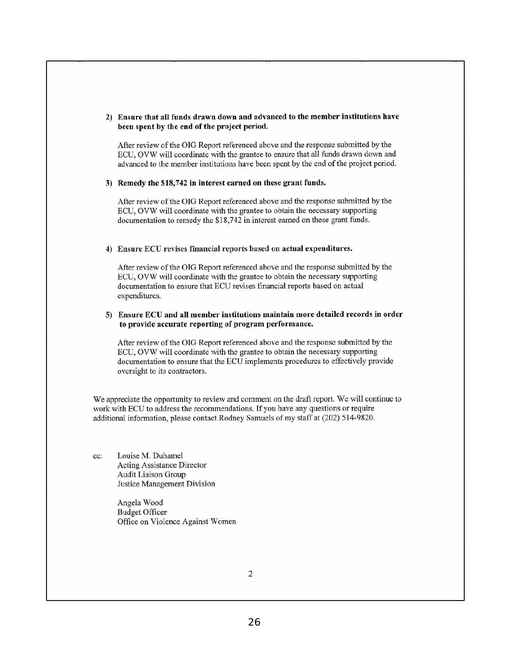#### 2) Ensure that all funds drawn down and advanced to the member institutions have been spent by the end of the project period.

After review of lhe OIG Report referenced above and the response submitted by the ECV, OVW will coordinate with the grantee to ensure that all funds drawn down and advanced to the member institutions have been spent by the end of the project period.

#### 3) Remedy the \$18,742 in interest earned on these grant funds.

After review of the OIG Report referenced above and the response submitted by the ECU, OVW will coordinate with the grantee to obtain the necessary supporting documentation to remedy the \$18,742 in interest earned on these grant funds.

#### 4) Ensure ECU revises financial reports based on actual expenditures.

After review of the OIG Report referenced above and the response submitted by the ECU, OVW will coordinate with the grantee to obtain the necessary supporting documentation to ensure that ECU revises financial reports based on actual expenditures.

#### 5) Ensure ECU and all member institutions maintain more detailed records in order to provide accurate reporting of program performance.

After review of the OIG Report referenced above and the response submitted by the ECU, OVW will coordinate with the grantee to obtain the necessary supporting documentation to ensure that the ECU implements procedures to effectively provide oversight to its contractors.

We appreciate the opportunity to review and comment on the draft report. We will continue to work with ECU to address the recommendations. If you have any questions or require additional information, please contact Rodney Samuels of my staff at (202) 514-9820.

cc: Louise M. Duhamel Acting Assistance Director Audit Liaison Group Justice Management Division

> Angela Wood Budget Officer Office on VioLence Against Women

> > 2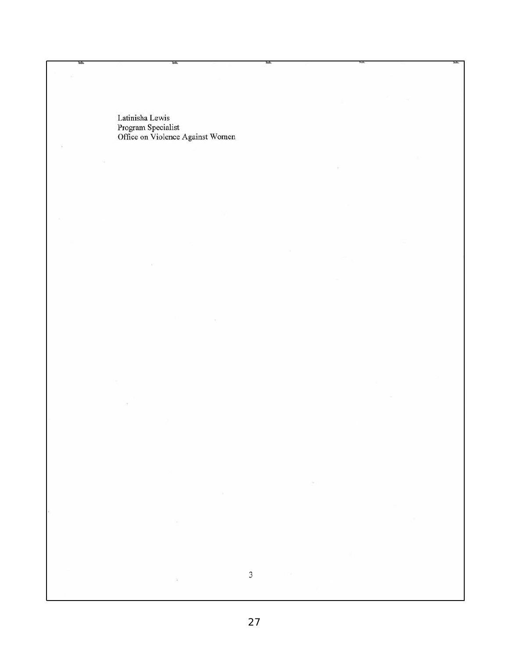Latinisha Lewis Program Specialist Office on Violence Against Women

bá.

 $\bar{\omega}$ 

W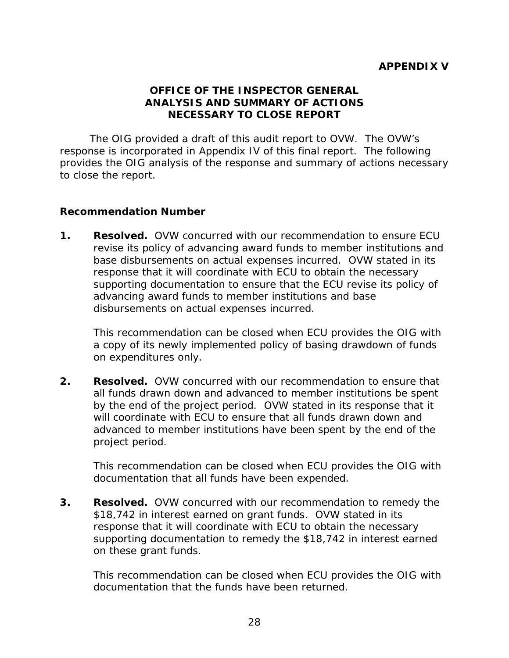# **OFFICE OF THE INSPECTOR GENERAL ANALYSIS AND SUMMARY OF ACTIONS NECESSARY TO CLOSE REPORT**

<span id="page-32-0"></span> response is incorporated in Appendix IV of this final report. The following The OIG provided a draft of this audit report to OVW. The OVW's provides the OIG analysis of the response and summary of actions necessary to close the report.

# **Recommendation Number**

1. Resolved. OVW concurred with our recommendation to ensure ECU base disbursements on actual expenses incurred. OVW stated in its revise its policy of advancing award funds to member institutions and response that it will coordinate with ECU to obtain the necessary supporting documentation to ensure that the ECU revise its policy of advancing award funds to member institutions and base disbursements on actual expenses incurred.

 This recommendation can be closed when ECU provides the OIG with a copy of its newly implemented policy of basing drawdown of funds on expenditures only.

 **2. Resolved.** OVW concurred with our recommendation to ensure that will coordinate with ECU to ensure that all funds drawn down and all funds drawn down and advanced to member institutions be spent by the end of the project period. OVW stated in its response that it advanced to member institutions have been spent by the end of the project period.

 This recommendation can be closed when ECU provides the OIG with documentation that all funds have been expended.

 **3. Resolved.** OVW concurred with our recommendation to remedy the \$18,742 in interest earned on grant funds. OVW stated in its response that it will coordinate with ECU to obtain the necessary supporting documentation to remedy the \$18,742 in interest earned on these grant funds.

 This recommendation can be closed when ECU provides the OIG with documentation that the funds have been returned.